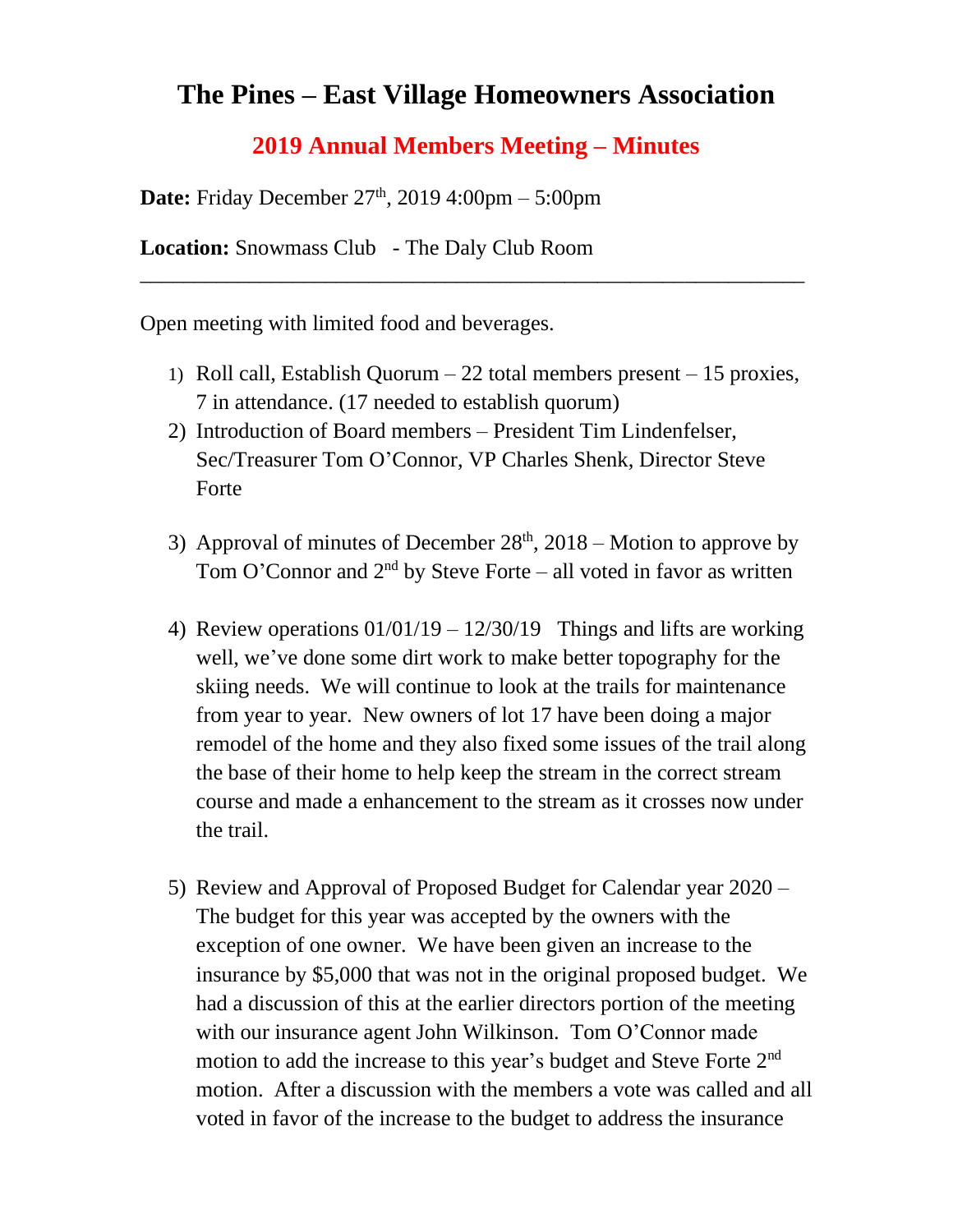## **The Pines – East Village Homeowners Association**

## **2019 Annual Members Meeting – Minutes**

\_\_\_\_\_\_\_\_\_\_\_\_\_\_\_\_\_\_\_\_\_\_\_\_\_\_\_\_\_\_\_\_\_\_\_\_\_\_\_\_\_\_\_\_\_\_\_\_\_\_\_\_\_\_\_\_\_\_\_\_\_

**Date:** Friday December 27<sup>th</sup>, 2019 4:00pm – 5:00pm

**Location:** Snowmass Club - The Daly Club Room

Open meeting with limited food and beverages.

- 1) Roll call, Establish Quorum 22 total members present 15 proxies, 7 in attendance. (17 needed to establish quorum)
- 2) Introduction of Board members President Tim Lindenfelser, Sec/Treasurer Tom O'Connor, VP Charles Shenk, Director Steve Forte
- 3) Approval of minutes of December  $28<sup>th</sup>$ ,  $2018$  Motion to approve by Tom O'Connor and  $2<sup>nd</sup>$  by Steve Forte – all voted in favor as written
- 4) Review operations  $01/01/19 12/30/19$  Things and lifts are working well, we've done some dirt work to make better topography for the skiing needs. We will continue to look at the trails for maintenance from year to year. New owners of lot 17 have been doing a major remodel of the home and they also fixed some issues of the trail along the base of their home to help keep the stream in the correct stream course and made a enhancement to the stream as it crosses now under the trail.
- 5) Review and Approval of Proposed Budget for Calendar year 2020 The budget for this year was accepted by the owners with the exception of one owner. We have been given an increase to the insurance by \$5,000 that was not in the original proposed budget. We had a discussion of this at the earlier directors portion of the meeting with our insurance agent John Wilkinson. Tom O'Connor made motion to add the increase to this year's budget and Steve Forte 2<sup>nd</sup> motion. After a discussion with the members a vote was called and all voted in favor of the increase to the budget to address the insurance